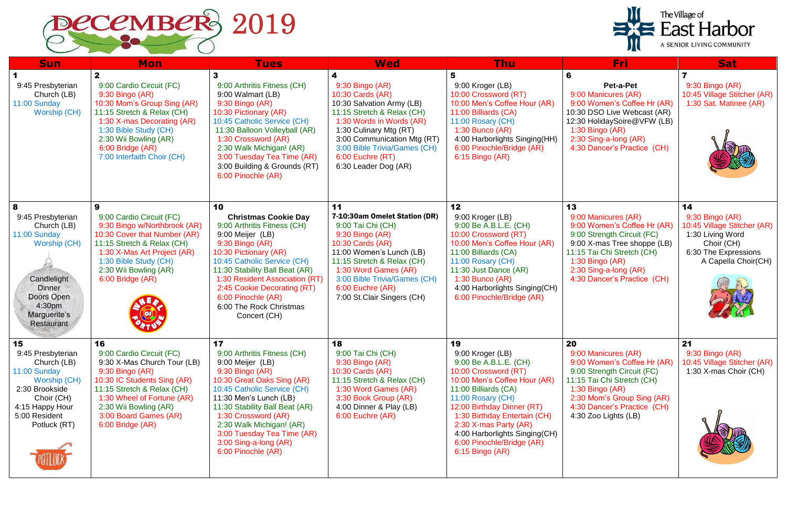

| <b>Sun</b>                                                                                                                                                  | <b>Mon</b>                                                                                                                                                                                                                                                     | <b>Tues</b>                                                                                                                                                                                                                                                                                                                         | <b>Wed</b>                                                                                                                                                                                                                                                              | <b>Thu</b>                                                                                                                                                                                                                                                                                                                   | Fri                                                                                                                                                                                                                            | <b>Sat</b>                                                                                                                            |
|-------------------------------------------------------------------------------------------------------------------------------------------------------------|----------------------------------------------------------------------------------------------------------------------------------------------------------------------------------------------------------------------------------------------------------------|-------------------------------------------------------------------------------------------------------------------------------------------------------------------------------------------------------------------------------------------------------------------------------------------------------------------------------------|-------------------------------------------------------------------------------------------------------------------------------------------------------------------------------------------------------------------------------------------------------------------------|------------------------------------------------------------------------------------------------------------------------------------------------------------------------------------------------------------------------------------------------------------------------------------------------------------------------------|--------------------------------------------------------------------------------------------------------------------------------------------------------------------------------------------------------------------------------|---------------------------------------------------------------------------------------------------------------------------------------|
| 9:45 Presbyterian<br>Church (LB)<br>11:00 Sunday<br>Worship (CH)                                                                                            | $\mathbf{2}$<br>9:00 Cardio Circuit (FC)<br>$9:30$ Bingo $(AR)$<br>10:30 Mom's Group Sing (AR)<br>11:15 Stretch & Relax (CH)<br>1:30 X-mas Decorating (AR)<br>1:30 Bible Study (CH)<br>2:30 Wii Bowling (AR)<br>6:00 Bridge (AR)<br>7:00 Interfaith Choir (CH) | 3<br>9:00 Arthritis Fitness (CH)<br>9:00 Walmart (LB)<br>9:30 Bingo (AR)<br>10:30 Pictionary (AR)<br>10:45 Catholic Service (CH)<br>11:30 Balloon Volleyball (AR)<br>1:30 Crossword (AR)<br>2:30 Walk Michigan! (AR)<br>3:00 Tuesday Tea Time (AR)<br>3:00 Building & Grounds (RT)<br>6:00 Pinochle (AR)                            | 9:30 Bingo (AR)<br>10:30 Cards (AR)<br>10:30 Salvation Army (LB)<br>11:15 Stretch & Relax (CH)<br>1:30 Words in Words (AR)<br>1:30 Culinary Mtg (RT)<br>3:00 Communication Mtg (RT)<br>3:00 Bible Trivia/Games (CH)<br>6:00 Euchre (RT)<br>6:30 Leader Dog (AR)         | 5<br>9:00 Kroger (LB)<br>10:00 Crossword (RT)<br>10:00 Men's Coffee Hour (AR)<br>11:00 Billiards (CA)<br>11:00 Rosary (CH)<br>$1:30$ Bunco (AR)<br>4:00 Harborlights Singing(HH)<br>6:00 Pinochle/Bridge (AR)<br>6:15 Bingo (AR)                                                                                             | Pet-a-Pet<br>9:00 Manicures (AR)<br>9:00 Women's Coffee Hr (AR)<br>10:30 DSO Live Webcast (AR)<br>12:30 HolidaySoire@VFW (LB)<br>$1:30$ Bingo (AR)<br>2:30 Sing-a-long (AR)<br>4:30 Dancer's Practice (CH)                     | 9:30 Bingo (AR)<br>10:45 Village Stitcher (AR)<br>1:30 Sat. Matinee (AR)                                                              |
| 8<br>9:45 Presbyterian<br>Church (LB)<br>11:00 Sunday<br>Worship (CH)<br>Candlelight<br><b>Dinner</b><br>Doors Open<br>4:30pm<br>Marguerite's<br>Restaurant | 9<br>9:00 Cardio Circuit (FC)<br>9:30 Bingo w/Northbrook (AR)<br>10:30 Cover that Number (AR)<br>11:15 Stretch & Relax (CH)<br>1:30 X-Mas Art Project (AR)<br>1:30 Bible Study (CH)<br>2:30 Wii Bowling (AR)<br>6:00 Bridge (AR)                               | 10<br><b>Christmas Cookie Day</b><br>9:00 Arthritis Fitness (CH)<br>9:00 Meijer (LB)<br>9:30 Bingo (AR)<br>10:30 Pictionary (AR)<br>10:45 Catholic Service (CH)<br>11:30 Stability Ball Beat (AR)<br>1:30 Resident Association (RT)<br>2:45 Cookie Decorating (RT)<br>6:00 Pinochle (AR)<br>6:00 The Rock Christmas<br>Concert (CH) | 11<br>7-10:30am Omelet Station (DR)<br>9:00 Tai Chi (CH)<br>$9:30$ Bingo $(AR)$<br>10:30 Cards (AR)<br>11:00 Women's Lunch (LB)<br>11:15 Stretch & Relax (CH)<br>1:30 Word Games (AR)<br>3:00 Bible Trivia/Games (CH)<br>6:00 Euchre (AR)<br>7:00 St.Clair Singers (CH) | 12<br>9:00 Kroger (LB)<br>9:00 Be A.B.L.E. (CH)<br>10:00 Crossword (RT)<br>10:00 Men's Coffee Hour (AR)<br>11:00 Billiards (CA)<br>11:00 Rosary (CH)<br>11:30 Just Dance (AR)<br>$1:30$ Bunco (AR)<br>4:00 Harborlights Singing(CH)<br>6:00 Pinochle/Bridge (AR)                                                             | 13<br>9:00 Manicures (AR)<br>9:00 Women's Coffee Hr (AR)<br>9:00 Strength Circuit (FC)<br>9:00 X-mas Tree shoppe (LB)<br>11:15 Tai Chi Stretch (CH)<br>1:30 Bingo (AR)<br>2:30 Sing-a-long (AR)<br>4:30 Dancer's Practice (CH) | 14<br>9:30 Bingo (AR)<br>10:45 Village Stitcher (AR)<br>1:30 Living Word<br>Choir (CH)<br>6:30 The Expressions<br>A Capella Choir(CH) |
| 15<br>9:45 Presbyterian<br>Church (LB)<br>11:00 Sunday<br>Worship (CH)<br>2:30 Brookside<br>Choir (CH)<br>4:15 Happy Hour<br>5:00 Resident<br>Potluck (RT)  | 16<br>9:00 Cardio Circuit (FC)<br>9:30 X-Mas Church Tour (LB)<br>9:30 Bingo (AR)<br>10:30 IC Students Sing (AR)<br>11:15 Stretch & Relax (CH)<br>1:30 Wheel of Fortune (AR)<br>2:30 Wii Bowling (AR)<br>3:00 Board Games (AR)<br>6:00 Bridge (AR)              | 17<br>9:00 Arthritis Fitness (CH)<br>9:00 Meijer (LB)<br>9:30 Bingo (AR)<br>10:30 Great Oaks Sing (AR)<br>10:45 Catholic Service (CH)<br>11:30 Men's Lunch (LB)<br>11:30 Stability Ball Beat (AR)<br>1:30 Crossword (AR)<br>2:30 Walk Michigan! (AR)<br>3:00 Tuesday Tea Time (AR)<br>3:00 Sing-a-long (AR)<br>6:00 Pinochle (AR)   | 18<br>9:00 Tai Chi (CH)<br>9:30 Bingo (AR)<br>10:30 Cards (AR)<br>11:15 Stretch & Relax (CH)<br>1:30 Word Games (AR)<br>3:30 Book Group (AR)<br>4:00 Dinner & Play (LB)<br>6:00 Euchre (AR)                                                                             | 19<br>9:00 Kroger (LB)<br>9:00 Be A.B.L.E. (CH)<br>10:00 Crossword (RT)<br>10:00 Men's Coffee Hour (AR)<br>11:00 Billiards (CA)<br>11:00 Rosary (CH)<br>12:00 Birthday Dinner (RT)<br>1:30 Birthday Entertain (CH)<br>2:30 X-mas Party (AR)<br>4:00 Harborlights Singing(CH)<br>6:00 Pinochle/Bridge (AR)<br>6:15 Bingo (AR) | 20<br>9:00 Manicures (AR)<br>9:00 Women's Coffee Hr (AR)<br>9:00 Strength Circuit (FC)<br>11:15 Tai Chi Stretch (CH)<br>1:30 Bingo $(AR)$<br>2:30 Mom's Group Sing (AR)<br>4:30 Dancer's Practice (CH)<br>4:30 Zoo Lights (LB) | 21<br>9:30 Bingo (AR)<br>10:45 Village Stitcher (AR)<br>1:30 X-mas Choir (CH)                                                         |

| The Village of<br><b>RE</b> East Harbor<br>A SENIOR LIVING COMMUNITY                                                                                                                     |                                                                                                                                       |  |  |  |  |  |  |  |
|------------------------------------------------------------------------------------------------------------------------------------------------------------------------------------------|---------------------------------------------------------------------------------------------------------------------------------------|--|--|--|--|--|--|--|
| Fri                                                                                                                                                                                      | <b>Sat</b>                                                                                                                            |  |  |  |  |  |  |  |
| Pet-a-Pet<br>00 Manicures (AR)<br>00 Women's Coffee Hr (AR)<br>30 DSO Live Webcast (AR)<br>30 HolidaySoire@VFW (LB)<br>30 Bingo (AR)<br>30 Sing-a-long (AR)<br>30 Dancer's Practice (CH) | 7<br>$9:30$ Bingo $(AR)$<br>10:45 Village Stitcher (AR)<br>1:30 Sat. Matinee (AR)                                                     |  |  |  |  |  |  |  |
| 00 Manicures (AR)<br>00 Women's Coffee Hr (AR)<br>00 Strength Circuit (FC)<br>00 X-mas Tree shoppe (LB)<br>15 Tai Chi Stretch (CH)<br>30 Bingo (AR)                                      | 14<br>9:30 Bingo (AR)<br>10:45 Village Stitcher (AR)<br>1:30 Living Word<br>Choir (CH)<br>6:30 The Expressions<br>A Capella Choir(CH) |  |  |  |  |  |  |  |

- 
- 
- -
- 
- 
- 
- 15 Tai Chi Stretch (CH)<br>30 Bingo (AR)
- 
- 30 Mom's Group Sing (AR)
- 30 Dancer's Practice (CH)
- 30 Zoo Lights (LB)